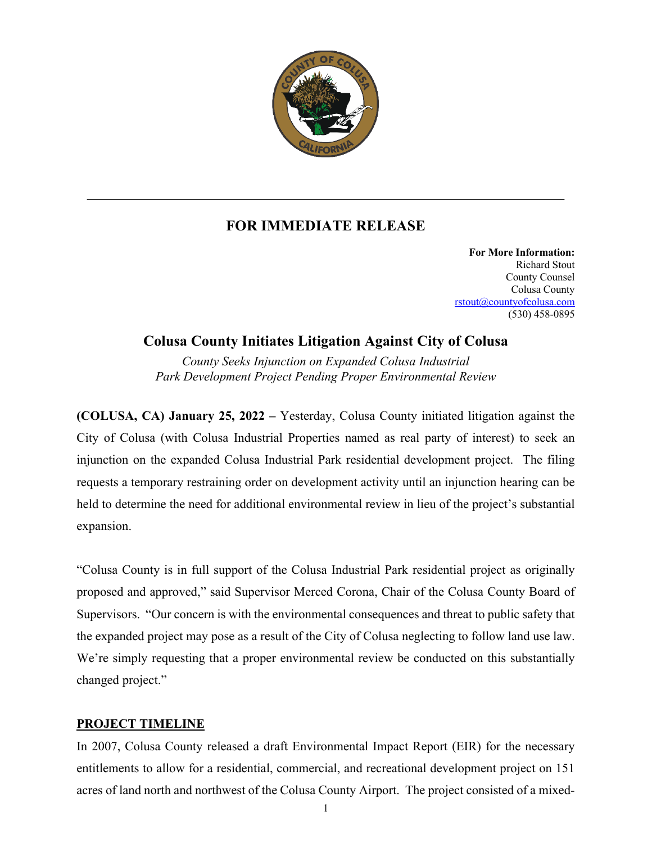

## **FOR IMMEDIATE RELEASE**

**For More Information:** Richard Stout County Counsel Colusa County rstout@countyofcolusa.com (530) 458-0895

## **Colusa County Initiates Litigation Against City of Colusa**

*County Seeks Injunction on Expanded Colusa Industrial Park Development Project Pending Proper Environmental Review*

**(COLUSA, CA) January 25, 2022 –** Yesterday, Colusa County initiated litigation against the City of Colusa (with Colusa Industrial Properties named as real party of interest) to seek an injunction on the expanded Colusa Industrial Park residential development project. The filing requests a temporary restraining order on development activity until an injunction hearing can be held to determine the need for additional environmental review in lieu of the project's substantial expansion.

"Colusa County is in full support of the Colusa Industrial Park residential project as originally proposed and approved," said Supervisor Merced Corona, Chair of the Colusa County Board of Supervisors. "Our concern is with the environmental consequences and threat to public safety that the expanded project may pose as a result of the City of Colusa neglecting to follow land use law. We're simply requesting that a proper environmental review be conducted on this substantially changed project."

## **PROJECT TIMELINE**

In 2007, Colusa County released a draft Environmental Impact Report (EIR) for the necessary entitlements to allow for a residential, commercial, and recreational development project on 151 acres of land north and northwest of the Colusa County Airport. The project consisted of a mixed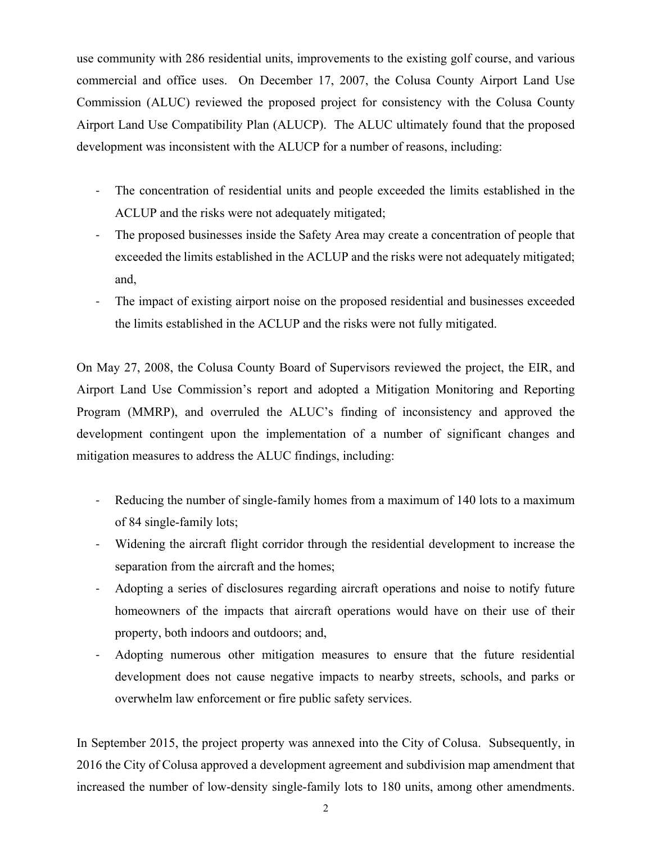use community with 286 residential units, improvements to the existing golf course, and various commercial and office uses. On December 17, 2007, the Colusa County Airport Land Use Commission (ALUC) reviewed the proposed project for consistency with the Colusa County Airport Land Use Compatibility Plan (ALUCP). The ALUC ultimately found that the proposed development was inconsistent with the ALUCP for a number of reasons, including:

- The concentration of residential units and people exceeded the limits established in the ACLUP and the risks were not adequately mitigated;
- The proposed businesses inside the Safety Area may create a concentration of people that exceeded the limits established in the ACLUP and the risks were not adequately mitigated; and,
- The impact of existing airport noise on the proposed residential and businesses exceeded the limits established in the ACLUP and the risks were not fully mitigated.

On May 27, 2008, the Colusa County Board of Supervisors reviewed the project, the EIR, and Airport Land Use Commission's report and adopted a Mitigation Monitoring and Reporting Program (MMRP), and overruled the ALUC's finding of inconsistency and approved the development contingent upon the implementation of a number of significant changes and mitigation measures to address the ALUC findings, including:

- Reducing the number of single-family homes from a maximum of 140 lots to a maximum of 84 single-family lots;
- Widening the aircraft flight corridor through the residential development to increase the separation from the aircraft and the homes;
- Adopting a series of disclosures regarding aircraft operations and noise to notify future homeowners of the impacts that aircraft operations would have on their use of their property, both indoors and outdoors; and,
- Adopting numerous other mitigation measures to ensure that the future residential development does not cause negative impacts to nearby streets, schools, and parks or overwhelm law enforcement or fire public safety services.

In September 2015, the project property was annexed into the City of Colusa. Subsequently, in 2016 the City of Colusa approved a development agreement and subdivision map amendment that increased the number of low-density single-family lots to 180 units, among other amendments.